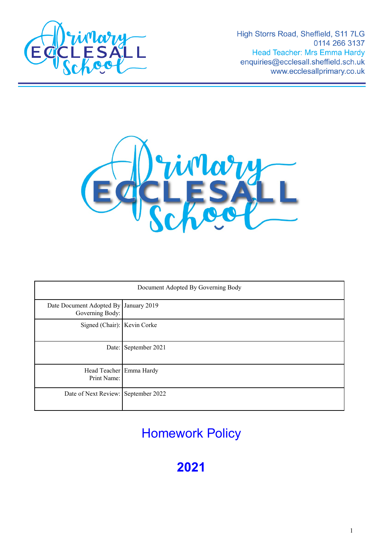

High Storrs Road, Sheffield, S11 7LG 0114 266 3137 Head Teacher: Mrs Emma Hardy enquiries@ecclesall.sheffield.sch.uk www.ecclesallprimary.co.uk



| Document Adopted By Governing Body                       |                      |
|----------------------------------------------------------|----------------------|
| Date Document Adopted By January 2019<br>Governing Body: |                      |
| Signed (Chair): Kevin Corke                              |                      |
|                                                          | Date: September 2021 |
| Head Teacher Emma Hardy<br>Print Name:                   |                      |
| Date of Next Review: September 2022                      |                      |

Homework Policy

**2021**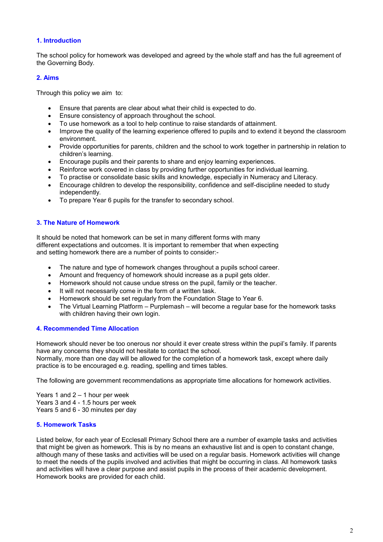## **1. Introduction**

The school policy for homework was developed and agreed by the whole staff and has the full agreement of the Governing Body.

## **2. Aims**

Through this policy we aim to:

- Ensure that parents are clear about what their child is expected to do.
- Ensure consistency of approach throughout the school.
- To use homework as a tool to help continue to raise standards of attainment.
- Improve the quality of the learning experience offered to pupils and to extend it beyond the classroom environment.
- Provide opportunities for parents, children and the school to work together in partnership in relation to children's learning.
- Encourage pupils and their parents to share and enjoy learning experiences.
- Reinforce work covered in class by providing further opportunities for individual learning.
- To practise or consolidate basic skills and knowledge, especially in Numeracy and Literacy.
- Encourage children to develop the responsibility, confidence and self-discipline needed to study independently.
- To prepare Year 6 pupils for the transfer to secondary school.

# **3. The Nature of Homework**

It should be noted that homework can be set in many different forms with many different expectations and outcomes. It is important to remember that when expecting and setting homework there are a number of points to consider:-

- The nature and type of homework changes throughout a pupils school career.
- Amount and frequency of homework should increase as a pupil gets older.
- Homework should not cause undue stress on the pupil, family or the teacher.
- It will not necessarily come in the form of a written task.
- Homework should be set regularly from the Foundation Stage to Year 6.
- The Virtual Learning Platform Purplemash will become a regular base for the homework tasks with children having their own login.

#### **4. Recommended Time Allocation**

Homework should never be too onerous nor should it ever create stress within the pupil's family. If parents have any concerns they should not hesitate to contact the school. Normally, more than one day will be allowed for the completion of a homework task, except where daily practice is to be encouraged e.g. reading, spelling and times tables.

The following are government recommendations as appropriate time allocations for homework activities.

Years 1 and 2 – 1 hour per week Years 3 and 4 - 1.5 hours per week Years 5 and 6 - 30 minutes per day

#### **5. Homework Tasks**

Listed below, for each year of Ecclesall Primary School there are a number of example tasks and activities that might be given as homework. This is by no means an exhaustive list and is open to constant change, although many of these tasks and activities will be used on a regular basis. Homework activities will change to meet the needs of the pupils involved and activities that might be occurring in class. All homework tasks and activities will have a clear purpose and assist pupils in the process of their academic development. Homework books are provided for each child.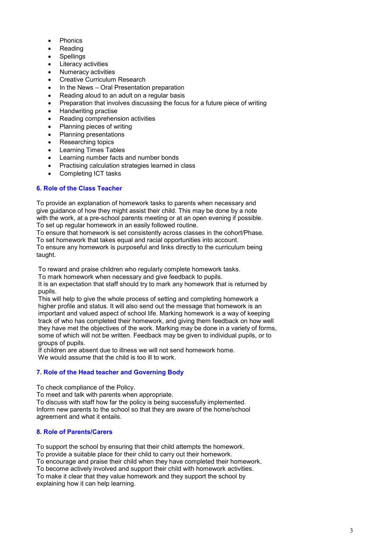- Phonics
- Reading
- Spellings
- Literacy activities
- Numeracy activities
- **Creative Curriculum Research**
- In the News Oral Presentation preparation
- Reading aloud to an adult on a regular basis
- Preparation that involves discussing the focus for a future piece of writing
- Handwriting practise
- Reading comprehension activities
- Planning pieces of writing
- Planning presentations
- Researching topics
- Learning Times Tables
- Learning number facts and number bonds
- Practising calculation strategies learned in class
- Completing ICT tasks

# **6. Role of the Class Teacher**

To provide an explanation of homework tasks to parents when necessary and give guidance of how they might assist their child. This may be done by a note with the work, at a pre-school parents meeting or at an open evening if possible. To set up regular homework in an easily followed routine.

To ensure that homework is set consistently across classes in the cohort/Phase.

To set homework that takes equal and racial opportunities into account. To ensure any homework is purposeful and links directly to the curriculum being

taught.

To reward and praise children who regularly complete homework tasks.

To mark homework when necessary and give feedback to pupils.

It is an expectation that staff should try to mark any homework that is returned by pupils.

This will help to give the whole process of setting and completing homework a higher profile and status. It will also send out the message that homework is an important and valued aspect of school life. Marking homework is a way of keeping track of who has completed their homework, and giving them feedback on how well they have met the objectives of the work. Marking may be done in a variety of forms, some of which will not be written. Feedback may be given to individual pupils, or to groups of pupils.

If children are absent due to illness we will not send homework home. We would assume that the child is too ill to work.

#### **7. Role of the Head teacher and Governing Body**

To check compliance of the Policy.

To meet and talk with parents when appropriate.

To discuss with staff how far the policy is being successfully implemented. Inform new parents to the school so that they are aware of the home/school agreement and what it entails.

#### **8. Role of Parents/Carers**

To support the school by ensuring that their child attempts the homework. To provide a suitable place for their child to carry out their homework. To encourage and praise their child when they have completed their homework. To become actively involved and support their child with homework activities. To make it clear that they value homework and they support the school by explaining how it can help learning.